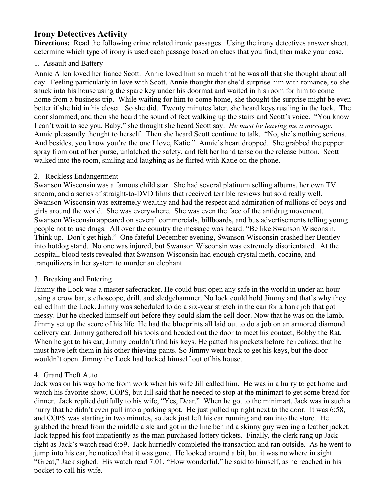# **Irony Detectives Activity**

**Directions:** Read the following crime related ironic passages. Using the irony detectives answer sheet, determine which type of irony is used each passage based on clues that you find, then make your case.

## 1. Assault and Battery

Annie Allen loved her fiancé Scott. Annie loved him so much that he was all that she thought about all day. Feeling particularly in love with Scott, Annie thought that she'd surprise him with romance, so she snuck into his house using the spare key under his doormat and waited in his room for him to come home from a business trip. While waiting for him to come home, she thought the surprise might be even better if she hid in his closet. So she did. Twenty minutes later, she heard keys rustling in the lock. The door slammed, and then she heard the sound of feet walking up the stairs and Scott's voice. "You know I can't wait to see you, Baby," she thought she heard Scott say. *He must be leaving me a message*, Annie pleasantly thought to herself. Then she heard Scott continue to talk. "No, she's nothing serious. And besides, you know you're the one I love, Katie." Annie's heart dropped. She grabbed the pepper spray from out of her purse, unlatched the safety, and felt her hand tense on the release button. Scott walked into the room, smiling and laughing as he flirted with Katie on the phone.

### 2. Reckless Endangerment

Swanson Wisconsin was a famous child star. She had several platinum selling albums, her own TV sitcom, and a series of straight-to-DVD films that received terrible reviews but sold really well. Swanson Wisconsin was extremely wealthy and had the respect and admiration of millions of boys and girls around the world. She was everywhere. She was even the face of the antidrug movement. Swanson Wisconsin appeared on several commercials, billboards, and bus advertisements telling young people not to use drugs. All over the country the message was heard: "Be like Swanson Wisconsin. Think up. Don't get high." One fateful December evening, Swanson Wisconsin crashed her Bentley into hotdog stand. No one was injured, but Swanson Wisconsin was extremely disorientated. At the hospital, blood tests revealed that Swanson Wisconsin had enough crystal meth, cocaine, and tranquilizers in her system to murder an elephant.

# 3. Breaking and Entering

Jimmy the Lock was a master safecracker. He could bust open any safe in the world in under an hour using a crow bar, stethoscope, drill, and sledgehammer. No lock could hold Jimmy and that's why they called him the Lock. Jimmy was scheduled to do a six-year stretch in the can for a bank job that got messy. But he checked himself out before they could slam the cell door. Now that he was on the lamb, Jimmy set up the score of his life. He had the blueprints all laid out to do a job on an armored diamond delivery car. Jimmy gathered all his tools and headed out the door to meet his contact, Bobby the Rat. When he got to his car, Jimmy couldn't find his keys. He patted his pockets before he realized that he must have left them in his other thieving-pants. So Jimmy went back to get his keys, but the door wouldn't open. Jimmy the Lock had locked himself out of his house.

# 4. Grand Theft Auto

Jack was on his way home from work when his wife Jill called him. He was in a hurry to get home and watch his favorite show, COPS, but Jill said that he needed to stop at the minimart to get some bread for dinner. Jack replied dutifully to his wife, "Yes, Dear." When he got to the minimart, Jack was in such a hurry that he didn't even pull into a parking spot. He just pulled up right next to the door. It was 6:58, and COPS was starting in two minutes, so Jack just left his car running and ran into the store. He grabbed the bread from the middle aisle and got in the line behind a skinny guy wearing a leather jacket. Jack tapped his foot impatiently as the man purchased lottery tickets. Finally, the clerk rang up Jack right as Jack's watch read 6:59. Jack hurriedly completed the transaction and ran outside. As he went to jump into his car, he noticed that it was gone. He looked around a bit, but it was no where in sight. "Great," Jack sighed. His watch read 7:01. "How wonderful," he said to himself, as he reached in his pocket to call his wife.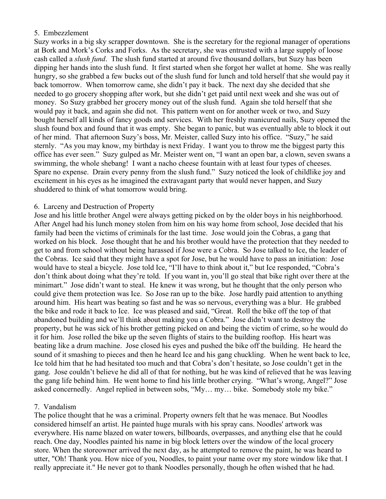### 5. Embezzlement

Suzy works in a big sky scrapper downtown. She is the secretary for the regional manager of operations at Bork and Mork's Corks and Forks. As the secretary, she was entrusted with a large supply of loose cash called a *slush fund*. The slush fund started at around five thousand dollars, but Suzy has been dipping her hands into the slush fund. It first started when she forgot her wallet at home. She was really hungry, so she grabbed a few bucks out of the slush fund for lunch and told herself that she would pay it back tomorrow. When tomorrow came, she didn't pay it back. The next day she decided that she needed to go grocery shopping after work, but she didn't get paid until next week and she was out of money. So Suzy grabbed her grocery money out of the slush fund. Again she told herself that she would pay it back, and again she did not. This pattern went on for another week or two, and Suzy bought herself all kinds of fancy goods and services. With her freshly manicured nails, Suzy opened the slush found box and found that it was empty. She began to panic, but was eventually able to block it out of her mind. That afternoon Suzy's boss, Mr. Meister, called Suzy into his office. "Suzy," he said sternly. "As you may know, my birthday is next Friday. I want you to throw me the biggest party this office has ever seen." Suzy gulped as Mr. Meister went on, "I want an open bar, a clown, seven swans a swimming, the whole shebang! I want a nacho cheese fountain with at least four types of cheeses. Spare no expense. Drain every penny from the slush fund." Suzy noticed the look of childlike joy and excitement in his eyes as he imagined the extravagant party that would never happen, and Suzy shuddered to think of what tomorrow would bring.

#### 6. Larceny and Destruction of Property

Jose and his little brother Angel were always getting picked on by the older boys in his neighborhood. After Angel had his lunch money stolen from him on his way home from school, Jose decided that his family had been the victims of criminals for the last time. Jose would join the Cobras, a gang that worked on his block. Jose thought that he and his brother would have the protection that they needed to get to and from school without being harassed if Jose were a Cobra. So Jose talked to Ice, the leader of the Cobras. Ice said that they might have a spot for Jose, but he would have to pass an initiation: Jose would have to steal a bicycle. Jose told Ice, "I'll have to think about it," but Ice responded, "Cobra's don't think about doing what they're told. If you want in, you'll go steal that bike right over there at the minimart." Jose didn't want to steal. He knew it was wrong, but he thought that the only person who could give them protection was Ice. So Jose ran up to the bike. Jose hardly paid attention to anything around him. His heart was beating so fast and he was so nervous, everything was a blur. He grabbed the bike and rode it back to Ice. Ice was pleased and said, "Great. Roll the bike off the top of that abandoned building and we'll think about making you a Cobra." Jose didn't want to destroy the property, but he was sick of his brother getting picked on and being the victim of crime, so he would do it for him. Jose rolled the bike up the seven flights of stairs to the building rooftop. His heart was beating like a drum machine. Jose closed his eyes and pushed the bike off the building. He heard the sound of it smashing to pieces and then he heard Ice and his gang chuckling. When he went back to Ice, Ice told him that he had hesitated too much and that Cobra's don't hesitate, so Jose couldn't get in the gang. Jose couldn't believe he did all of that for nothing, but he was kind of relieved that he was leaving the gang life behind him. He went home to find his little brother crying. "What's wrong, Angel?" Jose asked concernedly. Angel replied in between sobs, "My... my... bike. Somebody stole my bike."

#### 7. Vandalism

The police thought that he was a criminal. Property owners felt that he was menace. But Noodles considered himself an artist. He painted huge murals with his spray cans. Noodles' artwork was everywhere. His name blazed on water towers, billboards, overpasses, and anything else that he could reach. One day, Noodles painted his name in big block letters over the window of the local grocery store. When the storeowner arrived the next day, as he attempted to remove the paint, he was heard to utter, "Oh! Thank you. How nice of you, Noodles, to paint your name over my store window like that. I really appreciate it." He never got to thank Noodles personally, though he often wished that he had.